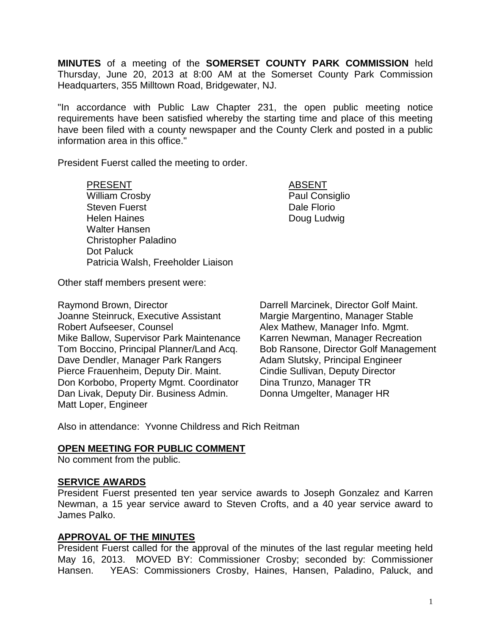**MINUTES** of a meeting of the **SOMERSET COUNTY PARK COMMISSION** held Thursday, June 20, 2013 at 8:00 AM at the Somerset County Park Commission Headquarters, 355 Milltown Road, Bridgewater, NJ.

"In accordance with Public Law Chapter 231, the open public meeting notice requirements have been satisfied whereby the starting time and place of this meeting have been filed with a county newspaper and the County Clerk and posted in a public information area in this office."

President Fuerst called the meeting to order.

### PRESENT ABSENT

William Crosby **Paul Consiglio** Steven Fuerst **Dale Florio Dale Florio** Helen Haines **Doug Ludwig** Walter Hansen Christopher Paladino Dot Paluck Patricia Walsh, Freeholder Liaison

Other staff members present were:

Raymond Brown, Director **Darrell Marcinek, Director Golf Maint.** Joanne Steinruck, Executive Assistant Margie Margentino, Manager Stable Robert Aufseeser, Counsel **Alex Mathew, Manager Info. Mgmt.** Mike Ballow, Supervisor Park Maintenance Karren Newman, Manager Recreation Tom Boccino, Principal Planner/Land Acq. Bob Ransone, Director Golf Management Dave Dendler, Manager Park Rangers Adam Slutsky, Principal Engineer Pierce Frauenheim, Deputy Dir. Maint. Cindie Sullivan, Deputy Director Don Korbobo, Property Mgmt. Coordinator Dina Trunzo, Manager TR Dan Livak, Deputy Dir. Business Admin. Matt Loper, Engineer

Also in attendance: Yvonne Childress and Rich Reitman

## **OPEN MEETING FOR PUBLIC COMMENT**

No comment from the public.

## **SERVICE AWARDS**

President Fuerst presented ten year service awards to Joseph Gonzalez and Karren Newman, a 15 year service award to Steven Crofts, and a 40 year service award to James Palko.

## **APPROVAL OF THE MINUTES**

President Fuerst called for the approval of the minutes of the last regular meeting held May 16, 2013. MOVED BY: Commissioner Crosby; seconded by: Commissioner Hansen. YEAS: Commissioners Crosby, Haines, Hansen, Paladino, Paluck, and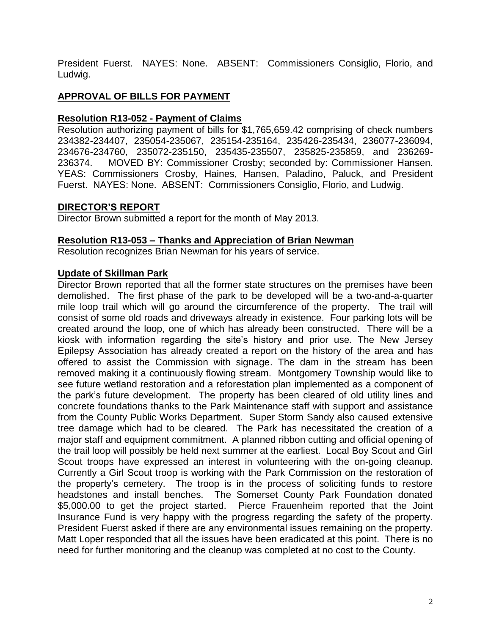President Fuerst. NAYES: None. ABSENT: Commissioners Consiglio, Florio, and Ludwig.

# **APPROVAL OF BILLS FOR PAYMENT**

# **Resolution R13-052 - Payment of Claims**

Resolution authorizing payment of bills for \$1,765,659.42 comprising of check numbers 234382-234407, 235054-235067, 235154-235164, 235426-235434, 236077-236094, 234676-234760, 235072-235150, 235435-235507, 235825-235859, and 236269- 236374. MOVED BY: Commissioner Crosby; seconded by: Commissioner Hansen. YEAS: Commissioners Crosby, Haines, Hansen, Paladino, Paluck, and President Fuerst. NAYES: None. ABSENT: Commissioners Consiglio, Florio, and Ludwig.

# **DIRECTOR'S REPORT**

Director Brown submitted a report for the month of May 2013.

## **Resolution R13-053 – Thanks and Appreciation of Brian Newman**

Resolution recognizes Brian Newman for his years of service.

## **Update of Skillman Park**

Director Brown reported that all the former state structures on the premises have been demolished. The first phase of the park to be developed will be a two-and-a-quarter mile loop trail which will go around the circumference of the property. The trail will consist of some old roads and driveways already in existence. Four parking lots will be created around the loop, one of which has already been constructed. There will be a kiosk with information regarding the site's history and prior use. The New Jersey Epilepsy Association has already created a report on the history of the area and has offered to assist the Commission with signage. The dam in the stream has been removed making it a continuously flowing stream. Montgomery Township would like to see future wetland restoration and a reforestation plan implemented as a component of the park's future development. The property has been cleared of old utility lines and concrete foundations thanks to the Park Maintenance staff with support and assistance from the County Public Works Department. Super Storm Sandy also caused extensive tree damage which had to be cleared. The Park has necessitated the creation of a major staff and equipment commitment. A planned ribbon cutting and official opening of the trail loop will possibly be held next summer at the earliest. Local Boy Scout and Girl Scout troops have expressed an interest in volunteering with the on-going cleanup. Currently a Girl Scout troop is working with the Park Commission on the restoration of the property's cemetery. The troop is in the process of soliciting funds to restore headstones and install benches. The Somerset County Park Foundation donated \$5,000.00 to get the project started. Pierce Frauenheim reported that the Joint Insurance Fund is very happy with the progress regarding the safety of the property. President Fuerst asked if there are any environmental issues remaining on the property. Matt Loper responded that all the issues have been eradicated at this point. There is no need for further monitoring and the cleanup was completed at no cost to the County.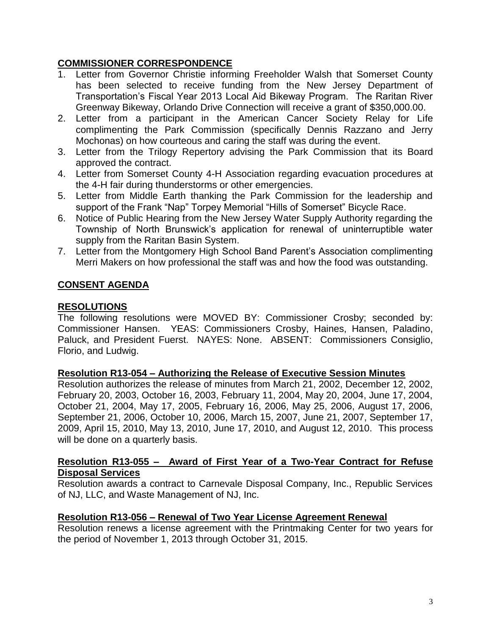## **COMMISSIONER CORRESPONDENCE**

- 1. Letter from Governor Christie informing Freeholder Walsh that Somerset County has been selected to receive funding from the New Jersey Department of Transportation's Fiscal Year 2013 Local Aid Bikeway Program. The Raritan River Greenway Bikeway, Orlando Drive Connection will receive a grant of \$350,000.00.
- 2. Letter from a participant in the American Cancer Society Relay for Life complimenting the Park Commission (specifically Dennis Razzano and Jerry Mochonas) on how courteous and caring the staff was during the event.
- 3. Letter from the Trilogy Repertory advising the Park Commission that its Board approved the contract.
- 4. Letter from Somerset County 4-H Association regarding evacuation procedures at the 4-H fair during thunderstorms or other emergencies.
- 5. Letter from Middle Earth thanking the Park Commission for the leadership and support of the Frank "Nap" Torpey Memorial "Hills of Somerset" Bicycle Race.
- 6. Notice of Public Hearing from the New Jersey Water Supply Authority regarding the Township of North Brunswick's application for renewal of uninterruptible water supply from the Raritan Basin System.
- 7. Letter from the Montgomery High School Band Parent's Association complimenting Merri Makers on how professional the staff was and how the food was outstanding.

# **CONSENT AGENDA**

# **RESOLUTIONS**

The following resolutions were MOVED BY: Commissioner Crosby; seconded by: Commissioner Hansen. YEAS: Commissioners Crosby, Haines, Hansen, Paladino, Paluck, and President Fuerst. NAYES: None. ABSENT: Commissioners Consiglio, Florio, and Ludwig.

## **Resolution R13-054 – Authorizing the Release of Executive Session Minutes**

Resolution authorizes the release of minutes from March 21, 2002, December 12, 2002, February 20, 2003, October 16, 2003, February 11, 2004, May 20, 2004, June 17, 2004, October 21, 2004, May 17, 2005, February 16, 2006, May 25, 2006, August 17, 2006, September 21, 2006, October 10, 2006, March 15, 2007, June 21, 2007, September 17, 2009, April 15, 2010, May 13, 2010, June 17, 2010, and August 12, 2010. This process will be done on a quarterly basis.

### **Resolution R13-055 – Award of First Year of a Two-Year Contract for Refuse Disposal Services**

Resolution awards a contract to Carnevale Disposal Company, Inc., Republic Services of NJ, LLC, and Waste Management of NJ, Inc.

## **Resolution R13-056 – Renewal of Two Year License Agreement Renewal**

Resolution renews a license agreement with the Printmaking Center for two years for the period of November 1, 2013 through October 31, 2015.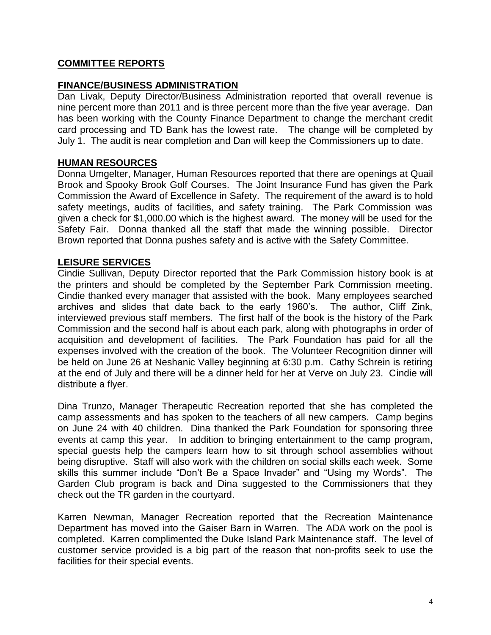# **COMMITTEE REPORTS**

## **FINANCE/BUSINESS ADMINISTRATION**

Dan Livak, Deputy Director/Business Administration reported that overall revenue is nine percent more than 2011 and is three percent more than the five year average. Dan has been working with the County Finance Department to change the merchant credit card processing and TD Bank has the lowest rate. The change will be completed by July 1. The audit is near completion and Dan will keep the Commissioners up to date.

## **HUMAN RESOURCES**

Donna Umgelter, Manager, Human Resources reported that there are openings at Quail Brook and Spooky Brook Golf Courses. The Joint Insurance Fund has given the Park Commission the Award of Excellence in Safety. The requirement of the award is to hold safety meetings, audits of facilities, and safety training. The Park Commission was given a check for \$1,000.00 which is the highest award. The money will be used for the Safety Fair. Donna thanked all the staff that made the winning possible. Director Brown reported that Donna pushes safety and is active with the Safety Committee.

## **LEISURE SERVICES**

Cindie Sullivan, Deputy Director reported that the Park Commission history book is at the printers and should be completed by the September Park Commission meeting. Cindie thanked every manager that assisted with the book. Many employees searched archives and slides that date back to the early 1960's. The author, Cliff Zink, interviewed previous staff members. The first half of the book is the history of the Park Commission and the second half is about each park, along with photographs in order of acquisition and development of facilities. The Park Foundation has paid for all the expenses involved with the creation of the book. The Volunteer Recognition dinner will be held on June 26 at Neshanic Valley beginning at 6:30 p.m. Cathy Schrein is retiring at the end of July and there will be a dinner held for her at Verve on July 23. Cindie will distribute a flyer.

Dina Trunzo, Manager Therapeutic Recreation reported that she has completed the camp assessments and has spoken to the teachers of all new campers. Camp begins on June 24 with 40 children. Dina thanked the Park Foundation for sponsoring three events at camp this year. In addition to bringing entertainment to the camp program, special guests help the campers learn how to sit through school assemblies without being disruptive. Staff will also work with the children on social skills each week. Some skills this summer include "Don't Be a Space Invader" and "Using my Words". The Garden Club program is back and Dina suggested to the Commissioners that they check out the TR garden in the courtyard.

Karren Newman, Manager Recreation reported that the Recreation Maintenance Department has moved into the Gaiser Barn in Warren. The ADA work on the pool is completed. Karren complimented the Duke Island Park Maintenance staff. The level of customer service provided is a big part of the reason that non-profits seek to use the facilities for their special events.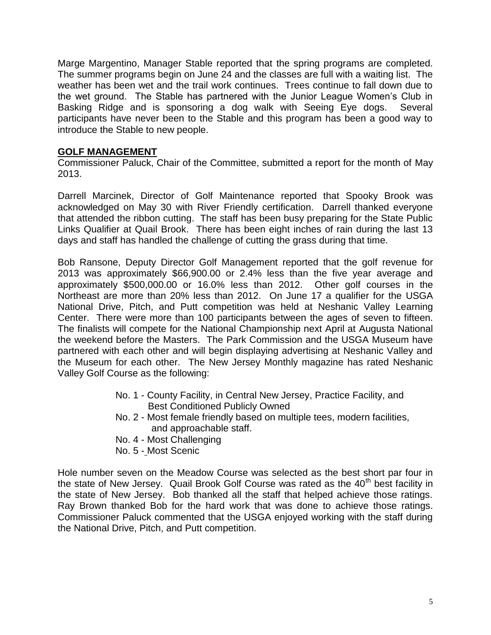Marge Margentino, Manager Stable reported that the spring programs are completed. The summer programs begin on June 24 and the classes are full with a waiting list. The weather has been wet and the trail work continues. Trees continue to fall down due to the wet ground. The Stable has partnered with the Junior League Women's Club in Basking Ridge and is sponsoring a dog walk with Seeing Eye dogs. Several participants have never been to the Stable and this program has been a good way to introduce the Stable to new people.

## **GOLF MANAGEMENT**

Commissioner Paluck, Chair of the Committee, submitted a report for the month of May 2013.

Darrell Marcinek, Director of Golf Maintenance reported that Spooky Brook was acknowledged on May 30 with River Friendly certification. Darrell thanked everyone that attended the ribbon cutting. The staff has been busy preparing for the State Public Links Qualifier at Quail Brook. There has been eight inches of rain during the last 13 days and staff has handled the challenge of cutting the grass during that time.

Bob Ransone, Deputy Director Golf Management reported that the golf revenue for 2013 was approximately \$66,900.00 or 2.4% less than the five year average and approximately \$500,000.00 or 16.0% less than 2012. Other golf courses in the Northeast are more than 20% less than 2012. On June 17 a qualifier for the USGA National Drive, Pitch, and Putt competition was held at Neshanic Valley Learning Center. There were more than 100 participants between the ages of seven to fifteen. The finalists will compete for the National Championship next April at Augusta National the weekend before the Masters. The Park Commission and the USGA Museum have partnered with each other and will begin displaying advertising at Neshanic Valley and the Museum for each other. The New Jersey Monthly magazine has rated Neshanic Valley Golf Course as the following:

- No. 1 County Facility, in Central New Jersey, Practice Facility, and Best Conditioned Publicly Owned
- No. 2 Most female friendly based on multiple tees, modern facilities, and approachable staff.
- No. 4 Most Challenging
- No. 5 Most Scenic

Hole number seven on the Meadow Course was selected as the best short par four in the state of New Jersey. Quail Brook Golf Course was rated as the  $40<sup>th</sup>$  best facility in the state of New Jersey. Bob thanked all the staff that helped achieve those ratings. Ray Brown thanked Bob for the hard work that was done to achieve those ratings. Commissioner Paluck commented that the USGA enjoyed working with the staff during the National Drive, Pitch, and Putt competition.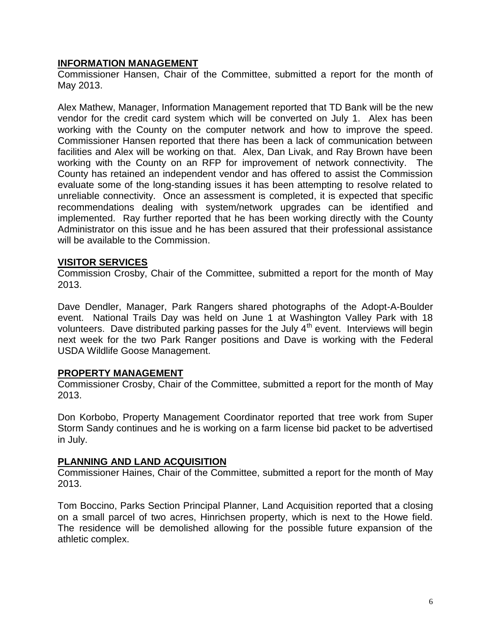## **INFORMATION MANAGEMENT**

Commissioner Hansen, Chair of the Committee, submitted a report for the month of May 2013.

Alex Mathew, Manager, Information Management reported that TD Bank will be the new vendor for the credit card system which will be converted on July 1. Alex has been working with the County on the computer network and how to improve the speed. Commissioner Hansen reported that there has been a lack of communication between facilities and Alex will be working on that. Alex, Dan Livak, and Ray Brown have been working with the County on an RFP for improvement of network connectivity. The County has retained an independent vendor and has offered to assist the Commission evaluate some of the long-standing issues it has been attempting to resolve related to unreliable connectivity. Once an assessment is completed, it is expected that specific recommendations dealing with system/network upgrades can be identified and implemented. Ray further reported that he has been working directly with the County Administrator on this issue and he has been assured that their professional assistance will be available to the Commission.

#### **VISITOR SERVICES**

Commission Crosby, Chair of the Committee, submitted a report for the month of May 2013.

Dave Dendler, Manager, Park Rangers shared photographs of the Adopt-A-Boulder event. National Trails Day was held on June 1 at Washington Valley Park with 18 volunteers. Dave distributed parking passes for the July 4<sup>th</sup> event. Interviews will begin next week for the two Park Ranger positions and Dave is working with the Federal USDA Wildlife Goose Management.

## **PROPERTY MANAGEMENT**

Commissioner Crosby, Chair of the Committee, submitted a report for the month of May 2013.

Don Korbobo, Property Management Coordinator reported that tree work from Super Storm Sandy continues and he is working on a farm license bid packet to be advertised in July.

## **PLANNING AND LAND ACQUISITION**

Commissioner Haines, Chair of the Committee, submitted a report for the month of May 2013.

Tom Boccino, Parks Section Principal Planner, Land Acquisition reported that a closing on a small parcel of two acres, Hinrichsen property, which is next to the Howe field. The residence will be demolished allowing for the possible future expansion of the athletic complex.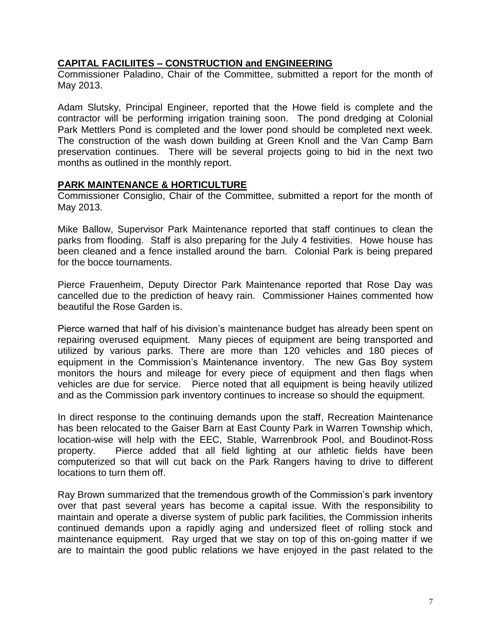## **CAPITAL FACILIITES – CONSTRUCTION and ENGINEERING**

Commissioner Paladino, Chair of the Committee, submitted a report for the month of May 2013.

Adam Slutsky, Principal Engineer, reported that the Howe field is complete and the contractor will be performing irrigation training soon. The pond dredging at Colonial Park Mettlers Pond is completed and the lower pond should be completed next week. The construction of the wash down building at Green Knoll and the Van Camp Barn preservation continues. There will be several projects going to bid in the next two months as outlined in the monthly report.

#### **PARK MAINTENANCE & HORTICULTURE**

Commissioner Consiglio, Chair of the Committee, submitted a report for the month of May 2013.

Mike Ballow, Supervisor Park Maintenance reported that staff continues to clean the parks from flooding. Staff is also preparing for the July 4 festivities. Howe house has been cleaned and a fence installed around the barn. Colonial Park is being prepared for the bocce tournaments.

Pierce Frauenheim, Deputy Director Park Maintenance reported that Rose Day was cancelled due to the prediction of heavy rain. Commissioner Haines commented how beautiful the Rose Garden is.

Pierce warned that half of his division's maintenance budget has already been spent on repairing overused equipment. Many pieces of equipment are being transported and utilized by various parks. There are more than 120 vehicles and 180 pieces of equipment in the Commission's Maintenance inventory. The new Gas Boy system monitors the hours and mileage for every piece of equipment and then flags when vehicles are due for service. Pierce noted that all equipment is being heavily utilized and as the Commission park inventory continues to increase so should the equipment.

In direct response to the continuing demands upon the staff, Recreation Maintenance has been relocated to the Gaiser Barn at East County Park in Warren Township which, location-wise will help with the EEC, Stable, Warrenbrook Pool, and Boudinot-Ross property. Pierce added that all field lighting at our athletic fields have been computerized so that will cut back on the Park Rangers having to drive to different locations to turn them off.

Ray Brown summarized that the tremendous growth of the Commission's park inventory over that past several years has become a capital issue. With the responsibility to maintain and operate a diverse system of public park facilities, the Commission inherits continued demands upon a rapidly aging and undersized fleet of rolling stock and maintenance equipment. Ray urged that we stay on top of this on-going matter if we are to maintain the good public relations we have enjoyed in the past related to the